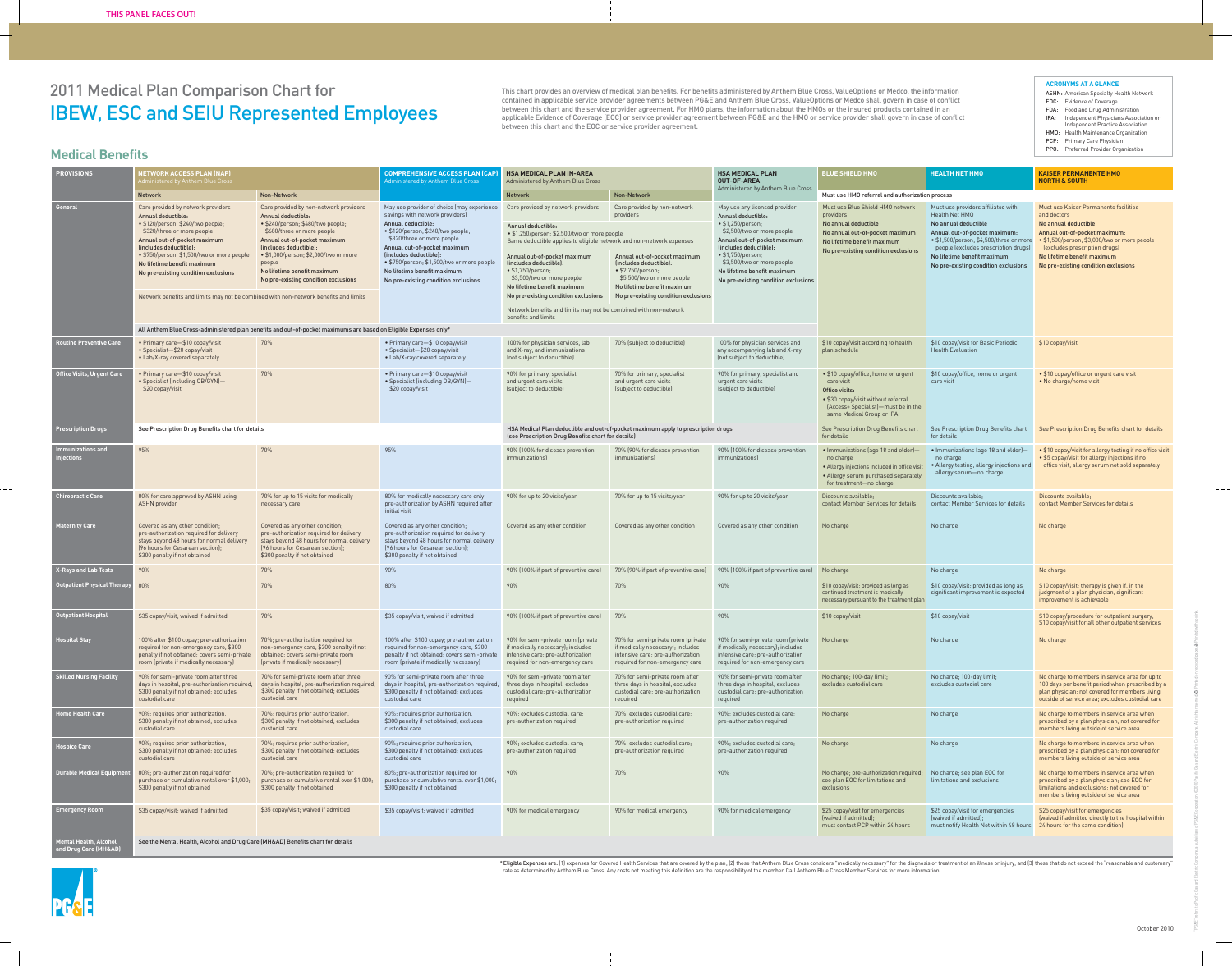# 2011 Medical Plan Comparison Chart for IBEW, ESC and SEIU Represented Employees

\* Eligible Expenses are: (1) expenses for Covered Health Services that are covered by the plan; (2) those that Anthem Blue Cross considers "medically necessary" for the diagnosis or treatment of an illness or injury; and ( rate as determined by Anthem Blue Cross. Any costs not meeting this definition are the responsibility of the member. Call Anthem Blue Cross Member Services for more information.

- ASHN: American Specialty Health Network EOC: Evidence of Coverage FDA: Food and Drug Administration IPA: Independent Physicians Association or Independent Practice Association HMO: Health Maintenance Organization PCP: Primary Care Physician
- PPO: Preferred Provider Organization

| <b>PROVISIONS</b>                             | <b>NETWORK ACCESS PLAN (NAP)</b><br>dministered by Anthem Blue Cross                                                                                                                                                                                                                                                                                                                               |                                                                                                                                                                                                                                                                                                                     | <b>COMPREHENSIVE ACCESS PLAN (CAP</b><br>Administered by Anthem Blue Cross                                                                                                                                                                                                                                                                           | <b>HSA MEDICAL PLAN IN-AREA</b><br>Administered by Anthem Blue Cross                                                                                                                                                                                                                                                                                                         |                                                                                                                                                                                                                               | <b>HSA MEDICAL PLAN</b><br>OUT-OF-AREA                                                                                                                                                                                                                                                             | <b>BLUE SHIELD HMO</b>                                                                                                                                                          | <b>HEALTH NET HMO</b>                                                                                                                                                                                                                                                   | <b>KAISER PERMANENTE HMO</b><br><b>NORTH &amp; SOUTH</b>                                                                                                                                                                                                              |
|-----------------------------------------------|----------------------------------------------------------------------------------------------------------------------------------------------------------------------------------------------------------------------------------------------------------------------------------------------------------------------------------------------------------------------------------------------------|---------------------------------------------------------------------------------------------------------------------------------------------------------------------------------------------------------------------------------------------------------------------------------------------------------------------|------------------------------------------------------------------------------------------------------------------------------------------------------------------------------------------------------------------------------------------------------------------------------------------------------------------------------------------------------|------------------------------------------------------------------------------------------------------------------------------------------------------------------------------------------------------------------------------------------------------------------------------------------------------------------------------------------------------------------------------|-------------------------------------------------------------------------------------------------------------------------------------------------------------------------------------------------------------------------------|----------------------------------------------------------------------------------------------------------------------------------------------------------------------------------------------------------------------------------------------------------------------------------------------------|---------------------------------------------------------------------------------------------------------------------------------------------------------------------------------|-------------------------------------------------------------------------------------------------------------------------------------------------------------------------------------------------------------------------------------------------------------------------|-----------------------------------------------------------------------------------------------------------------------------------------------------------------------------------------------------------------------------------------------------------------------|
|                                               | Network                                                                                                                                                                                                                                                                                                                                                                                            | Non-Network                                                                                                                                                                                                                                                                                                         |                                                                                                                                                                                                                                                                                                                                                      | <b>Network</b>                                                                                                                                                                                                                                                                                                                                                               | Non-Network                                                                                                                                                                                                                   | Administered by Anthem Blue Cross                                                                                                                                                                                                                                                                  | Must use HMO referral and authorization process                                                                                                                                 |                                                                                                                                                                                                                                                                         |                                                                                                                                                                                                                                                                       |
| General                                       | Care provided by network providers<br>Annual deductible:<br>· \$120/person; \$240/two people;<br>\$320/three or more people<br>Annual out-of-pocket maximum<br>(includes deductible):<br>· \$750/person; \$1,500/two or more people<br>No lifetime benefit maximum<br>No pre-existing condition exclusions<br>Network benefits and limits may not be combined with non-network benefits and limits | Care provided by non-network providers<br>Annual deductible:<br>· \$240/person; \$480/two people;<br>\$680/three or more people<br>Annual out-of-pocket maximum<br>(includes deductible):<br>• \$1,000/person; \$2,000/two or more<br>people<br>No lifetime benefit maximum<br>No pre-existing condition exclusions | May use provider of choice (may experience<br>savings with network providers)<br>Annual deductible:<br>· \$120/person; \$240/two people;<br>\$320/three or more people<br>Annual out-of-pocket maximum<br>(includes deductible):<br>· \$750/person; \$1,500/two or more peopl<br>No lifetime benefit maximum<br>No pre-existing condition exclusions | Care provided by network providers<br>Annual deductible:<br>· \$1,250/person; \$2,500/two or more people<br>Same deductible applies to eligible network and non-network expenses<br>Annual out-of-pocket maximum<br>(includes deductible):<br>$\bullet$ \$1,750/person;<br>\$3,500/two or more people<br>No lifetime benefit maximum<br>No pre-existing condition exclusions | Care provided by non-network<br>providers<br>Annual out-of-pocket maximum<br>(includes deductible):<br>• \$2,750/person;<br>\$5,500/two or more people<br>No lifetime benefit maximum<br>No pre-existing condition exclusions | May use any licensed provider<br>Annual deductible:<br>• \$1,250/person;<br>\$2,500/two or more people<br>Annual out-of-pocket maximum<br>(includes deductible):<br>$\bullet$ \$1,750/person;<br>\$3,500/two or more people<br>No lifetime benefit maximum<br>No pre-existing condition exclusions | Must use Blue Shield HMO network<br>providers<br>No annual deductible<br>No annual out-of-pocket maximum<br>No lifetime benefit maximum<br>No pre-existing condition exclusions | Must use providers affiliated with<br>Health Net HMO<br>No annual deductible<br>Annual out-of-pocket maximum:<br>• \$1,500/person; \$4,500/three or more<br>people (excludes prescription drugs)<br>No lifetime benefit maximum<br>No pre-existing condition exclusions | Must use Kaiser Permanente facilities<br>and doctors<br>No annual deductible<br>Annual out-of-pocket maximum:<br>• \$1,500/person; \$3,000/two or more people<br>(excludes prescription drugs)<br>No lifetime benefit maximum<br>No pre-existing condition exclusions |
|                                               |                                                                                                                                                                                                                                                                                                                                                                                                    |                                                                                                                                                                                                                                                                                                                     |                                                                                                                                                                                                                                                                                                                                                      | Network benefits and limits may not be combined with non-network<br>benefits and limits                                                                                                                                                                                                                                                                                      |                                                                                                                                                                                                                               |                                                                                                                                                                                                                                                                                                    |                                                                                                                                                                                 |                                                                                                                                                                                                                                                                         |                                                                                                                                                                                                                                                                       |
|                                               |                                                                                                                                                                                                                                                                                                                                                                                                    | All Anthem Blue Cross-administered plan benefits and out-of-pocket maximums are based on Eligible Expenses only*                                                                                                                                                                                                    |                                                                                                                                                                                                                                                                                                                                                      |                                                                                                                                                                                                                                                                                                                                                                              |                                                                                                                                                                                                                               |                                                                                                                                                                                                                                                                                                    |                                                                                                                                                                                 |                                                                                                                                                                                                                                                                         |                                                                                                                                                                                                                                                                       |
| outine Preventive Care                        | • Primary care-\$10 copay/visit<br>• Specialist-\$20 copay/visit<br>• Lab/X-ray covered separately                                                                                                                                                                                                                                                                                                 | 70%                                                                                                                                                                                                                                                                                                                 | • Primary care-\$10 copay/visit<br>• Specialist-\$20 copay/visit<br>• Lab/X-ray covered separately                                                                                                                                                                                                                                                   | 100% for physician services, lab<br>and X-ray, and immunizations<br>(not subject to deductible)                                                                                                                                                                                                                                                                              | 70% (subject to deductible)                                                                                                                                                                                                   | 100% for physician services and<br>any accompanying lab and X-ray<br>(not subject to deductible)                                                                                                                                                                                                   | \$10 copay/visit according to health<br>plan schedule                                                                                                                           | \$10 copay/visit for Basic Periodic<br><b>Health Evaluation</b>                                                                                                                                                                                                         | \$10 copay/visit                                                                                                                                                                                                                                                      |
| Office Visits, Urgent Care                    | • Primary care-\$10 copay/visit<br>• Specialist (including OB/GYN)-<br>\$20 copay/visit                                                                                                                                                                                                                                                                                                            | 70%                                                                                                                                                                                                                                                                                                                 | • Primary care-\$10 copay/visit<br>• Specialist (including OB/GYN)-<br>\$20 copay/visit                                                                                                                                                                                                                                                              | 90% for primary, specialist<br>and urgent care visits<br>(subject to deductible)                                                                                                                                                                                                                                                                                             | 70% for primary, specialist<br>and urgent care visits<br>(subject to deductible)                                                                                                                                              | 90% for primary, specialist and<br>urgent care visits<br>(subject to deductible)                                                                                                                                                                                                                   | • \$10 copay/office, home or urgent<br>care visit<br>Office visits:<br>• \$30 copay/visit without referral<br>(Access+ Specialist)-must be in the<br>same Medical Group or IPA  | \$10 copay/office, home or urgent<br>care visit                                                                                                                                                                                                                         | • \$10 copay/office or urgent care visit<br>• No charge/home visit                                                                                                                                                                                                    |
| <b>Prescription Drugs</b>                     | See Prescription Drug Benefits chart for details                                                                                                                                                                                                                                                                                                                                                   |                                                                                                                                                                                                                                                                                                                     |                                                                                                                                                                                                                                                                                                                                                      | HSA Medical Plan deductible and out-of-pocket maximum apply to prescription drugs<br>(see Prescription Drug Benefits chart for details)                                                                                                                                                                                                                                      |                                                                                                                                                                                                                               |                                                                                                                                                                                                                                                                                                    | See Prescription Drug Benefits chart<br>for details                                                                                                                             | See Prescription Drug Benefits chart<br>for details                                                                                                                                                                                                                     | See Prescription Drug Benefits chart for details                                                                                                                                                                                                                      |
| mmunizations and<br>jections                  | 95%                                                                                                                                                                                                                                                                                                                                                                                                | 70%                                                                                                                                                                                                                                                                                                                 | 95%                                                                                                                                                                                                                                                                                                                                                  | 90% (100% for disease prevention<br><i>immunizationsl</i>                                                                                                                                                                                                                                                                                                                    | 70% (90% for disease prevention<br>immunizations)                                                                                                                                                                             | 90% (100% for disease prevention<br><i>immunizations]</i>                                                                                                                                                                                                                                          | · Immunizations (age 18 and older)-<br>no charge<br>• Allergy injections included in office visit<br>• Allergy serum purchased separately<br>for treatment-no charge            | · Immunizations (age 18 and older)-<br>no charge<br>• Allergy testing, allergy injections and<br>allergy serum-no charge                                                                                                                                                | • \$10 copay/visit for allergy testing if no office visit<br>• \$5 copay/visit for allergy injections if no<br>office visit; allergy serum not sold separately                                                                                                        |
| <b>Chiropractic Care</b>                      | 80% for care approved by ASHN using<br><b>ASHN</b> provider                                                                                                                                                                                                                                                                                                                                        | 70% for up to 15 visits for medically<br>necessary care                                                                                                                                                                                                                                                             | 80% for medically necessary care only;<br>pre-authorization by ASHN required after<br>initial visit                                                                                                                                                                                                                                                  | 90% for up to 20 visits/year                                                                                                                                                                                                                                                                                                                                                 | 70% for up to 15 visits/year                                                                                                                                                                                                  | 90% for up to 20 visits/year                                                                                                                                                                                                                                                                       | Discounts available:<br>contact Member Services for details                                                                                                                     | Discounts available:<br>contact Member Services for details                                                                                                                                                                                                             | Discounts available:<br>contact Member Services for details                                                                                                                                                                                                           |
| <b>Maternity Care</b>                         | Covered as any other condition;<br>pre-authorization required for delivery<br>stays beyond 48 hours for normal delivery<br>[96 hours for Cesarean section];<br>\$300 penalty if not obtained                                                                                                                                                                                                       | Covered as any other condition;<br>pre-authorization required for delivery<br>stays beyond 48 hours for normal delivery<br>[96 hours for Cesarean section]:<br>\$300 penalty if not obtained                                                                                                                        | Covered as any other condition;<br>pre-authorization required for delivery<br>stays beyond 48 hours for normal delivery<br>[96 hours for Cesarean section];<br>\$300 penalty if not obtained                                                                                                                                                         | Covered as any other condition                                                                                                                                                                                                                                                                                                                                               | Covered as any other condition                                                                                                                                                                                                | Covered as any other condition                                                                                                                                                                                                                                                                     | No charge                                                                                                                                                                       | No charge                                                                                                                                                                                                                                                               | No charge                                                                                                                                                                                                                                                             |
| <b>X-Rays and Lab Tests</b>                   | 90%                                                                                                                                                                                                                                                                                                                                                                                                | 70%                                                                                                                                                                                                                                                                                                                 | 90%                                                                                                                                                                                                                                                                                                                                                  | 90% (100% if part of preventive care)                                                                                                                                                                                                                                                                                                                                        | 70% (90% if part of preventive care)                                                                                                                                                                                          | 90% (100% if part of preventive care)                                                                                                                                                                                                                                                              | No charge                                                                                                                                                                       | No charge                                                                                                                                                                                                                                                               | No charge                                                                                                                                                                                                                                                             |
| <b>Outpatient Physical Therapy</b>            | 80%                                                                                                                                                                                                                                                                                                                                                                                                | 70%                                                                                                                                                                                                                                                                                                                 | 80%                                                                                                                                                                                                                                                                                                                                                  | 90%                                                                                                                                                                                                                                                                                                                                                                          | 70%                                                                                                                                                                                                                           | 90%                                                                                                                                                                                                                                                                                                | \$10 copay/visit; provided as long as<br>continued treatment is medically<br>necessary pursuant to the treatment plan                                                           | \$10 copay/visit; provided as long as<br>significant improvement is expected                                                                                                                                                                                            | \$10 copay/visit; therapy is given if, in the<br>judgment of a plan physician, significant<br>improvement is achievable                                                                                                                                               |
| <b>Outpatient Hospital</b>                    | \$35 copay/visit; waived if admitted                                                                                                                                                                                                                                                                                                                                                               | 70%                                                                                                                                                                                                                                                                                                                 | \$35 copay/visit; waived if admitted                                                                                                                                                                                                                                                                                                                 | 90% (100% if part of preventive care)                                                                                                                                                                                                                                                                                                                                        | 70%                                                                                                                                                                                                                           | 90%                                                                                                                                                                                                                                                                                                | \$10 copay/visit                                                                                                                                                                | \$10 copay/visit                                                                                                                                                                                                                                                        | \$10 copay/procedure for outpatient surgery;<br>\$10 copay/visit for all other outpatient services                                                                                                                                                                    |
| ospital Stay                                  | 100% after \$100 copay; pre-authorization<br>required for non-emergency care, \$300<br>penalty if not obtained; covers semi-private<br>room (private if medically necessary)                                                                                                                                                                                                                       | 70%; pre-authorization required for<br>non-emergency care, \$300 penalty if not<br>obtained; covers semi-private room<br>(private if medically necessary)                                                                                                                                                           | 100% after \$100 copay; pre-authorization<br>required for non-emergency care, \$300<br>penalty if not obtained; covers semi-private<br>room (private if medically necessary)                                                                                                                                                                         | 90% for semi-private room (private<br>if medically necessary); includes<br>intensive care; pre-authorization<br>required for non-emergency care                                                                                                                                                                                                                              | 70% for semi-private room (private<br>if medically necessary); includes<br>intensive care; pre-authorization<br>required for non-emergency care                                                                               | 90% for semi-private room (private<br>if medically necessary); includes<br>intensive care; pre-authorization<br>required for non-emergency care                                                                                                                                                    | No charge                                                                                                                                                                       | No charge                                                                                                                                                                                                                                                               | No charge                                                                                                                                                                                                                                                             |
| <b>Skilled Nursing Facility</b>               | 90% for semi-private room after three<br>days in hospital; pre-authorization required<br>\$300 penalty if not obtained; excludes<br>custodial care                                                                                                                                                                                                                                                 | 70% for semi-private room after three<br>days in hospital; pre-authorization require<br>\$300 penalty if not obtained; excludes<br>custodial care                                                                                                                                                                   | 90% for semi-private room after three<br>days in hospital; pre-authorization required,<br>\$300 penalty if not obtained; excludes<br>custodial care                                                                                                                                                                                                  | 90% for semi-private room after<br>three days in hospital; excludes<br>custodial care; pre-authorization<br>required                                                                                                                                                                                                                                                         | 70% for semi-private room after<br>three days in hospital; excludes<br>custodial care; pre-authorization<br>required                                                                                                          | 90% for semi-private room after<br>three days in hospital; excludes<br>custodial care; pre-authorization<br>required                                                                                                                                                                               | No charge; 100-day limit;<br>excludes custodial care                                                                                                                            | No charge; 100-day limit;<br>excludes custodial care                                                                                                                                                                                                                    | No charge to members in service area for up to<br>100 days per benefit period when prescribed by a<br>plan physician; not covered for members living<br>outside of service area; excludes custodial care                                                              |
| lome Health Care                              | 90%; requires prior authorization,<br>\$300 penalty if not obtained; excludes<br>custodial care                                                                                                                                                                                                                                                                                                    | 70%; requires prior authorization,<br>\$300 penalty if not obtained; excludes<br>custodial care                                                                                                                                                                                                                     | 90%; requires prior authorization,<br>\$300 penalty if not obtained; excludes<br>custodial care                                                                                                                                                                                                                                                      | 90%; excludes custodial care;<br>pre-authorization required                                                                                                                                                                                                                                                                                                                  | 70%; excludes custodial care;<br>pre-authorization required                                                                                                                                                                   | 90%; excludes custodial care;<br>pre-authorization required                                                                                                                                                                                                                                        | No charge                                                                                                                                                                       | No charge                                                                                                                                                                                                                                                               | No charge to members in service area when<br>prescribed by a plan physician; not covered for<br>members living outside of service area                                                                                                                                |
| ospice Care                                   | 90%; requires prior authorization,<br>\$300 penalty if not obtained; excludes<br>custodial care                                                                                                                                                                                                                                                                                                    | 70%; requires prior authorization.<br>\$300 penalty if not obtained; excludes<br>custodial care                                                                                                                                                                                                                     | 90%; requires prior authorization,<br>\$300 penalty if not obtained; excludes<br>custodial care                                                                                                                                                                                                                                                      | 90%; excludes custodial care;<br>pre-authorization required                                                                                                                                                                                                                                                                                                                  | 70%: excludes custodial care:<br>pre-authorization required                                                                                                                                                                   | 90%; excludes custodial care;<br>pre-authorization required                                                                                                                                                                                                                                        | No charge                                                                                                                                                                       | No charge                                                                                                                                                                                                                                                               | No charge to members in service area when<br>prescribed by a plan physician; not covered for<br>members living outside of service area                                                                                                                                |
| <b>Durable Medical Equipme</b>                | 80%; pre-authorization required for<br>purchase or cumulative rental over \$1,000;<br>\$300 penalty if not obtained                                                                                                                                                                                                                                                                                | 70%; pre-authorization required for<br>purchase or cumulative rental over \$1,000;<br>\$300 penalty if not obtained                                                                                                                                                                                                 | 80%; pre-authorization required for<br>purchase or cumulative rental over \$1,000;<br>\$300 penalty if not obtained                                                                                                                                                                                                                                  | 90%                                                                                                                                                                                                                                                                                                                                                                          | 70%                                                                                                                                                                                                                           | 90%                                                                                                                                                                                                                                                                                                | No charge; pre-authorization required;<br>see plan EOC for limitations and<br>exclusions                                                                                        | No charge; see plan EOC for<br>limitations and exclusions                                                                                                                                                                                                               | No charge to members in service area when<br>prescribed by a plan physician; see EOC for<br>limitations and exclusions; not covered for<br>members living outside of service area                                                                                     |
| <b>Emergency Room</b>                         | \$35 copay/visit; waived if admitted                                                                                                                                                                                                                                                                                                                                                               | \$35 copay/visit; waived if admitted                                                                                                                                                                                                                                                                                | \$35 copay/visit; waived if admitted                                                                                                                                                                                                                                                                                                                 | 90% for medical emergency                                                                                                                                                                                                                                                                                                                                                    | 90% for medical emergency                                                                                                                                                                                                     | 90% for medical emergency                                                                                                                                                                                                                                                                          | \$25 copay/visit for emergencies<br>(waived if admitted);<br>must contact PCP within 24 hours                                                                                   | \$25 copay/visit for emergencies<br>must notify Health Net within 48 hours 24 hours for the same condition)                                                                                                                                                             | \$25 copay/visit for emergencies<br>[waived if admitted]; <b>Example 20</b> I waived if admitted directly to the hospital within                                                                                                                                      |
| Mental Health, Alcohol<br>d Drug Care (MH&AD) | See the Mental Health, Alcohol and Drug Care (MH&AD) Benefits chart for details                                                                                                                                                                                                                                                                                                                    |                                                                                                                                                                                                                                                                                                                     |                                                                                                                                                                                                                                                                                                                                                      |                                                                                                                                                                                                                                                                                                                                                                              |                                                                                                                                                                                                                               |                                                                                                                                                                                                                                                                                                    |                                                                                                                                                                                 |                                                                                                                                                                                                                                                                         |                                                                                                                                                                                                                                                                       |



### **Medical Benefits**

This chart provides an overview of medical plan benefits. For benefits administered by Anthem Blue Cross, ValueOptions or Medco, the information contained in applicable service provider agreements between PG&E and Anthem Blue Cross, ValueOptions or Medco shall govern in case of conflict between this chart and the service provider agreement. For HMO plans, the information about the HMOs or the insured products contained in an applicable Evidence of Coverage (EOC) or service provider agreement between PG&E and the HMO or service provider shall govern in case of conflict between this chart and the EOC or service provider agreement.

#### **ACRONYMS AT A GLANCE**